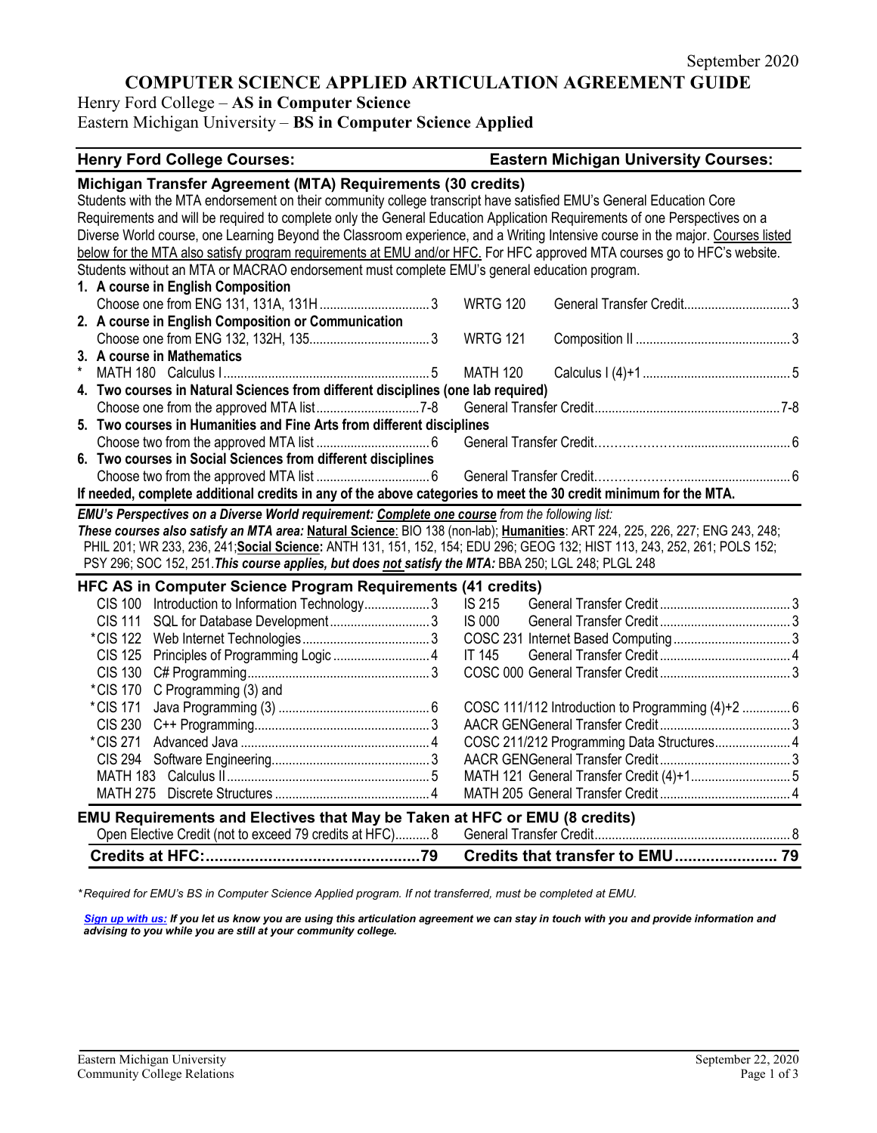# **COMPUTER SCIENCE APPLIED ARTICULATION AGREEMENT GUIDE**

Henry Ford College – **AS in Computer Science**

Eastern Michigan University – **BS in Computer Science Applied**

#### **Henry Ford College Courses: Eastern Michigan University Courses: Michigan Transfer Agreement (MTA) Requirements (30 credits)** Students with the MTA endorsement on their community college transcript have satisfied EMU's General Education Core Requirements and will be required to complete only the General Education Application Requirements of one Perspectives on a Diverse World course, one Learning Beyond the Classroom experience, and a Writing Intensive course in the major. Courses listed below for the MTA also satisfy program requirements at EMU and/or HFC. For HFC approved MTA courses go to HFC's website. Students without an MTA or MACRAO endorsement must complete EMU's general education program. **1. A course in English Composition** Choose one from ENG 131, 131A, 131H................................ 3 WRTG 120 General Transfer Credit............................... 3 **2. A course in English Composition or Communication** Choose one from ENG 132, 132H, 135................................... 3 WRTG 121 Composition II ............................................. 3 **3. A course in Mathematics** \* MATH 180 Calculus I............................................................ 5 MATH 120 Calculus I (4)+1........................................... 5 **4. Two courses in Natural Sciences from different disciplines (one lab required)** Choose one from the approved MTA list..............................7-8 General Transfer Credit......................................................7-8 **5. Two courses in Humanities and Fine Arts from different disciplines** Choose two from the approved MTA list ................................. 6 General Transfer Credit…………………................................ 6 **6. Two courses in Social Sciences from different disciplines** Choose two from the approved MTA list ................................. 6 General Transfer Credit…………………................................ 6 **If needed, complete additional credits in any of the above categories to meet the 30 credit minimum for the MTA.** *EMU's Perspectives on a Diverse World requirement: Complete one course from the following list: These courses also satisfy an MTA area:* **Natural Science**: BIO 138 (non-lab); **Humanities**: ART 224, 225, 226, 227; ENG 243, 248; PHIL 201; WR 233, 236, 241;**Social Science:** ANTH 131, 151, 152, 154; EDU 296; GEOG 132; HIST 113, 243, 252, 261; POLS 152; PSY 296; SOC 152, 251.*This course applies, but does not satisfy the MTA:* BBA 250; LGL 248; PLGL 248 **HFC AS in Computer Science Program Requirements (41 credits)** CIS 100 Introduction to Information Technology................... 3 IS 215 General Transfer Credit...................................... 3 CIS 111 SQL for Database Development............................. 3 IS 000 General Transfer Credit...................................... 3 \*CIS 122 Web Internet Technologies..................................... 3 COSC 231 Internet Based Computing.................................. 3 CIS 125 Principles of Programming Logic ............................ 4 IT 145 General Transfer Credit...................................... 4 CIS 130 C# Programming..................................................... 3 COSC 000 General Transfer Credit...................................... 3 \*CIS 170 C Programming (3) and \*CIS 171 Java Programming (3) ............................................ 6 COSC 111/112 Introduction to Programming (4)+2 .............. 6 CIS 230 C++ Programming................................................... 3 AACR GENGeneral Transfer Credit...................................... 3 \*CIS 271 Advanced Java ....................................................... 4 COSC 211/212 Programming Data Structures...................... 4 CIS 294 Software Engineering.............................................. 3 AACR GENGeneral Transfer Credit...................................... 3 MATH 183 Calculus II........................................................... 5 MATH 121 General Transfer Credit (4)+1............................. 5 MATH 275 Discrete Structures ............................................. 4 MATH 205 General Transfer Credit...................................... 4 **EMU Requirements and Electives that May be Taken at HFC or EMU (8 credits)** Open Elective Credit (not to exceed 79 credits at HFC).......... 8 General Transfer Credit......................................................... 8 **Credits at HFC:................................................79 Credits that transfer to EMU....................... 79**

*\* Required for EMU's BS in Computer Science Applied program. If not transferred, must be completed at EMU.* 

*[Sign up with us:](https://www.emich.edu/ccr/articulation-agreements/signup.php) If you let us know you are using this articulation agreement we can stay in touch with you and provide information and advising to you while you are still at your community college.*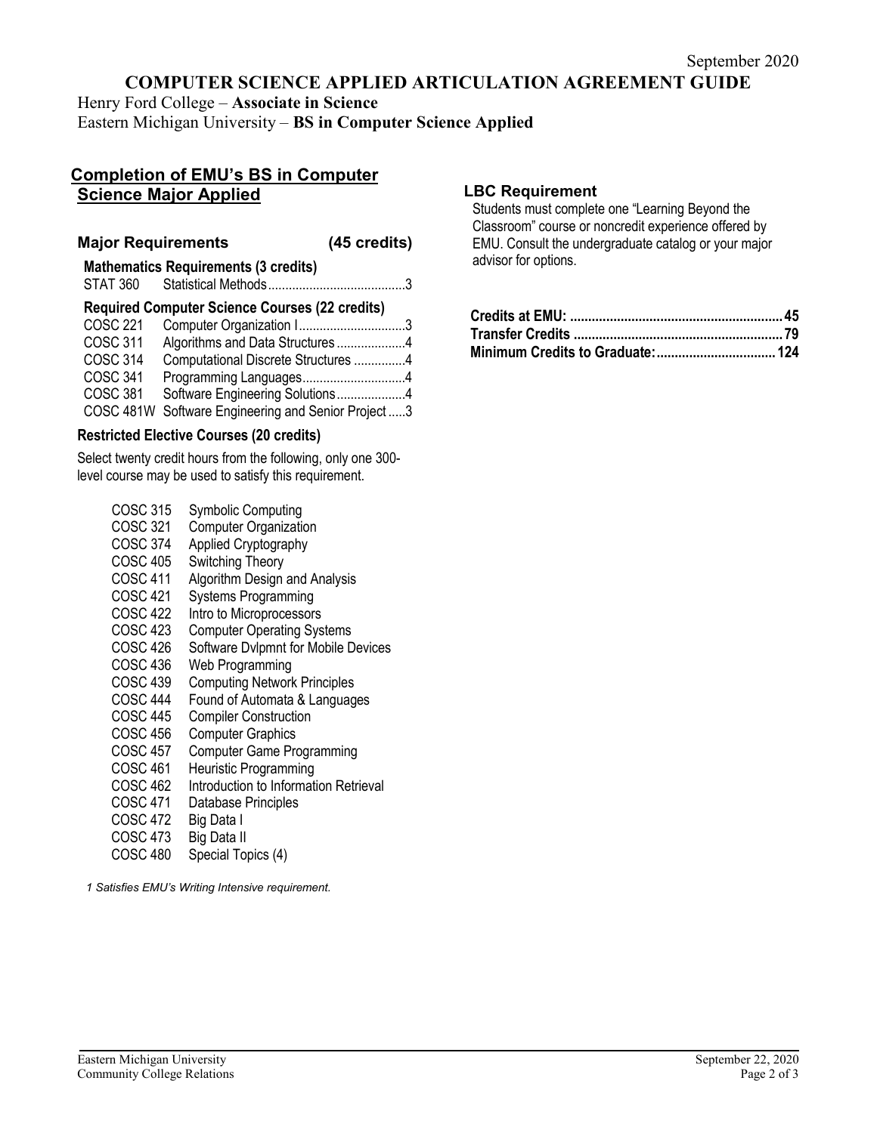# **COMPUTER SCIENCE APPLIED ARTICULATION AGREEMENT GUIDE**

Henry Ford College – **Associate in Science** Eastern Michigan University – **BS in Computer Science Applied**

# **Completion of EMU's BS in Computer Science Major Applied**

## **Major Requirements (45 credits)**

# **Mathematics Requirements (3 credits)** STAT 360 Statistical Methods........................................3 **Required Computer Science Courses (22 credits)**

| COSC 221        |                                          |  |
|-----------------|------------------------------------------|--|
| <b>COSC 311</b> | Algorithms and Data Structures4          |  |
| <b>COSC 314</b> | Computational Discrete Structures 4      |  |
| <b>COSC 341</b> |                                          |  |
| <b>COSC 381</b> | Software Engineering Solutions4          |  |
| COSC 481W       | Software Engineering and Senior Project3 |  |

## **Restricted Elective Courses (20 credits)**

Select twenty credit hours from the following, only one 300 level course may be used to satisfy this requirement.

> COSC 315 Symbolic Computing<br>COSC 321 Computer Organization COSC 321 Computer Organization<br>COSC 374 Applied Cryptography COSC 374 Applied Cryptography<br>COSC 405 Switching Theory Switching Theory COSC 411 Algorithm Design and Analysis COSC 421 Systems Programming COSC 422 Intro to Microprocessors COSC 423 Computer Operating Systems COSC 426 Software Dvlpmnt for Mobile Devices COSC 436 Web Programming COSC 439 Computing Network Principles COSC 444 Found of Automata & Languages<br>COSC 445 Compiler Construction COSC 445 Compiler Construction<br>COSC 456 Computer Graphics Computer Graphics COSC 457 Computer Game Programming COSC 461 Heuristic Programming COSC 462 Introduction to Information Retrieval<br>COSC 471 Database Principles Database Principles<br>Big Data I COSC 472<br>COSC 473 Big Data II COSC 480 Special Topics (4)

*1 Satisfies EMU's Writing Intensive requirement.*

## **LBC Requirement**

Students must complete one "Learning Beyond the Classroom" course or noncredit experience offered by EMU. Consult the undergraduate catalog or your major advisor for options.